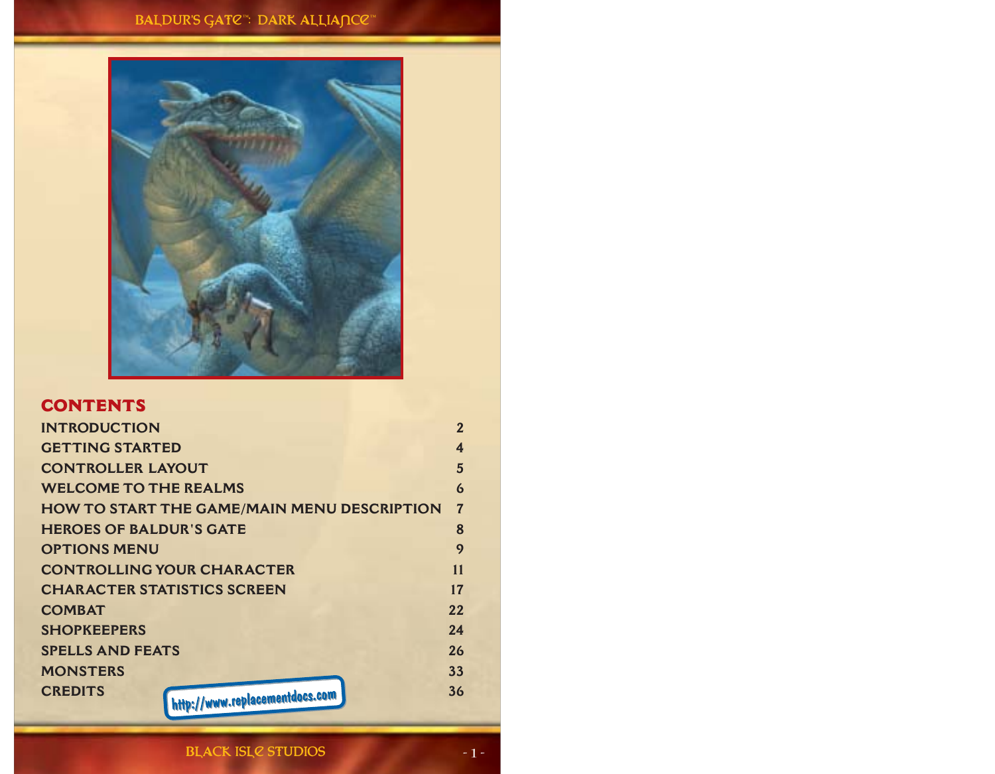# **BALDUR'S GAT€<sup>™</sup>: DARK ALLIANCE™**



## **CONTENTS**

| <b>INTRODUCTION</b>                                | $\overline{2}$   |
|----------------------------------------------------|------------------|
| <b>GETTING STARTED</b>                             | $\boldsymbol{4}$ |
| <b>CONTROLLER LAYOUT</b>                           | 5                |
| <b>WELCOME TO THE REALMS</b>                       | $\epsilon$       |
| <b>HOW TO START THE GAME/MAIN MENU DESCRIPTION</b> | $\overline{7}$   |
| <b>HEROES OF BALDUR'S GATE</b>                     | 8                |
| <b>OPTIONS MENU</b>                                | 9                |
| <b>CONTROLLING YOUR CHARACTER</b>                  | 11               |
| <b>CHARACTER STATISTICS SCREEN</b>                 | 17               |
| <b>COMBAT</b>                                      | 22               |
| <b>SHOPKEEPERS</b>                                 | 24               |
| <b>SPELLS AND FEATS</b>                            | 26               |
| <b>MONSTERS</b>                                    | 33               |
| <b>CREDITS</b><br>http://www.replacementdocs.com   | 36               |

**BlAcK Isle STUDios - 1 -**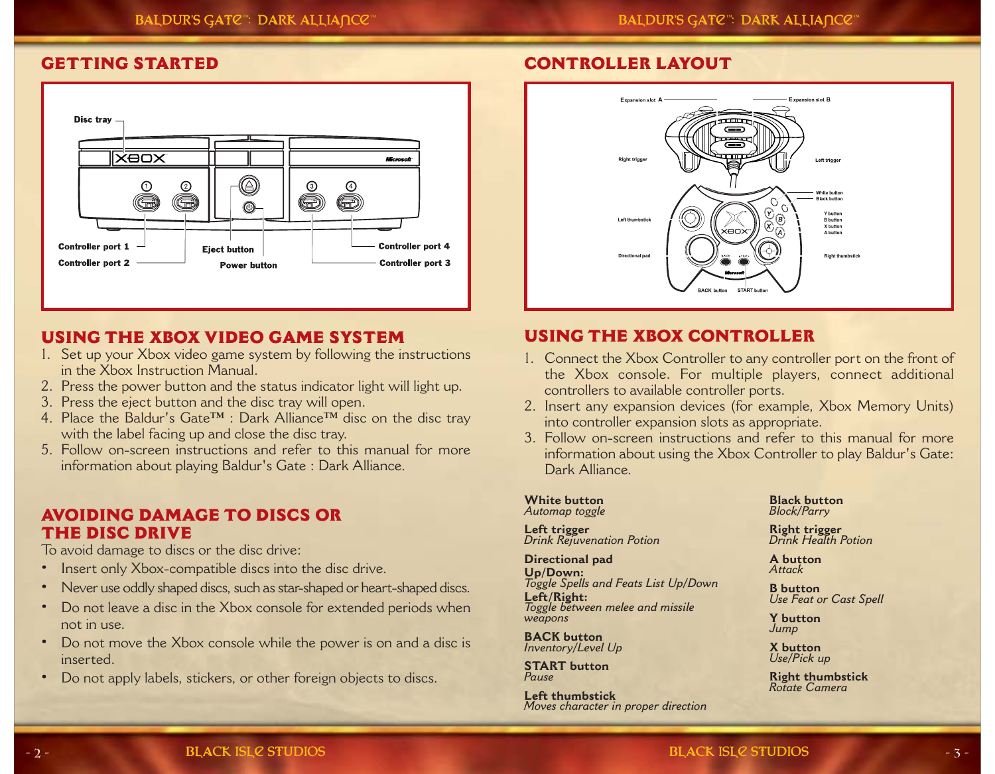# **GETTING STARTED**



# **USING THE XBOX VIDEO GAME SYSTEM**

- 1. Set up your Xbox video game system by following the instructions in the Xbox Instruction Manual.
- 2. Press the power button and the status indicator light will light up.
- 3. Press the eject button and the disc tray will open.
- 4. Place the Baldur's Gate™ : Dark Alliance™ disc on the disc tray with the label facing up and close the disc tray.
- 5. Follow on-screen instructions and refer to this manual for more information about playing Baldur's Gate : Dark Alliance.

## **AVOIDING DAMAGE TO DISCS ORTHE DISC DRIVE**

To avoid damage to discs or the disc drive:

- •Insert only Xbox-compatible discs into the disc drive.
- •Never use oddly shaped discs, such as star-shaped or heart-shaped discs.
- • Do not leave a disc in the Xbox console for extended periods when not in use.
- Do not move the Xbox console while the power is on and a disc is inserted.
- •Do not apply labels, stickers, or other foreign objects to discs.

# **CONTROLLER LAYOUT**



# **USING THE XBOX CONTROLLER**

- 1. Connect the Xbox Controller to any controller port on the front of the Xbox console. For multiple players, connect additional controllers to available controller ports.
- 2. Insert any expansion devices (for example, Xbox Memory Units) into controller expansion slots as appropriate.
- 3. Follow on-screen instructions and refer to this manual for more information about using the Xbox Controller to play Baldur's Gate: Dark Alliance.

**White button***Automap toggle*

**Left trigger** *Drink Rejuvenation Potion*

# **Directional pad**

**Up/Down:** *Toggle Spells and Feats List Up/Down* **Left/Right:** *Toggle between melee and missile weapons*

**BACK button***Inventory/Level Up*

**START button***Pause*

**Left thumbstick***Moves character in proper direction*

**Black button***Block/Parry*

**Right trigger** *Drink Health Potion*

**A button***Attack*

**B button***Use Feat or Cast Spell*

**Y button***Jump*

**X button***Use/Pick up*

**Right thumbstick** *Rotate Camera*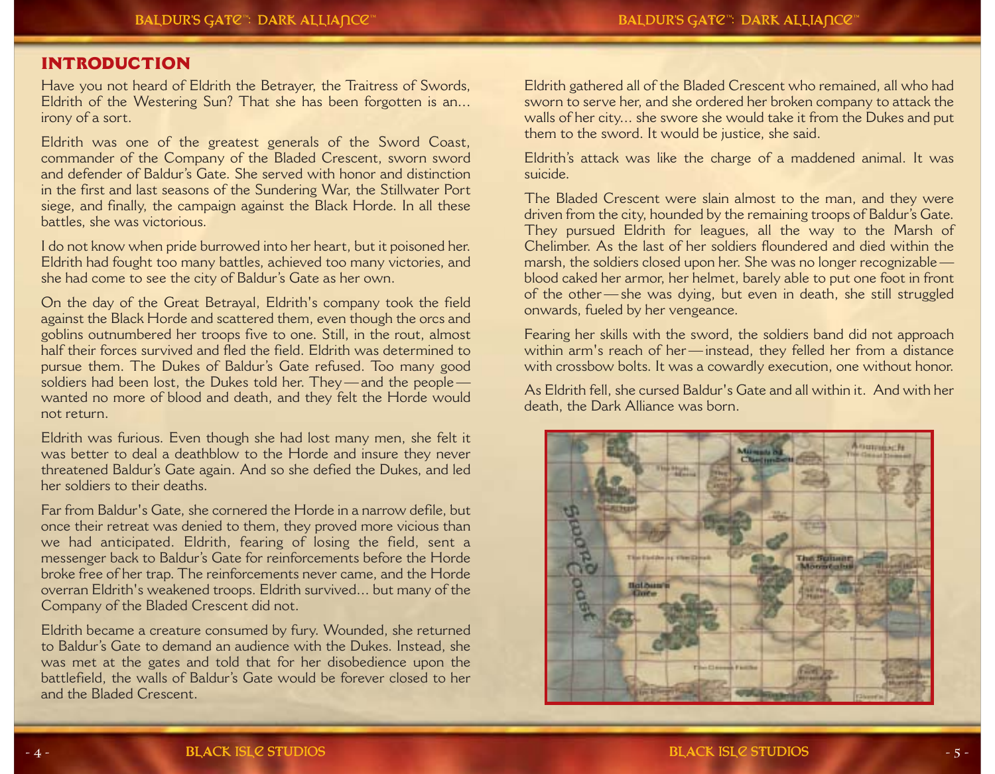## **INTRODUCTION**

Have you not heard of Eldrith the Betrayer, the Traitress of Swords, Eldrith of the Westering Sun? That she has been forgotten is an... irony of a sort.

Eldrith was one of the greatest generals of the Sword Coast, commander of the Company of the Bladed Crescent, sworn sword and defender of Baldur's Gate. She served with honor and distinctionin the first and last seasons of the Sundering War, the Stillwater Port siege, and finally, the campaign against the Black Horde. In all these battles, she was victorious.

I do not know when pride burrowed into her heart, but it poisoned her. Eldrith had fought too many battles, achieved too many victories, and she had come to see the city of Baldur's Gate as her own.

On the day of the Great Betrayal, Eldrith's company took the field against the Black Horde and scattered them, even though the orcs and goblins outnumbered her troops five to one. Still, in the rout, almost half their forces survived and fled the field. Eldrith was determined topursue them. The Dukes of Baldur's Gate refused. Too many good soldiers had been lost, the Dukes told her. They — and the people wanted no more of blood and death, and they felt the Horde would not return.

Eldrith was furious. Even though she had lost many men, she felt it was better to deal a deathblow to the Horde and insure they never threatened Baldur's Gate again. And so she defied the Dukes, and led her soldiers to their deaths.

Far from Baldur's Gate, she cornered the Horde in a narrow defile, but once their retreat was denied to them, they proved more vicious than we had anticipated. Eldrith, fearing of losing the field, sent a messenger back to Baldur's Gate for reinforcements before the Horde broke free of her trap. The reinforcements never came, and the Horde overran Eldrith's weakened troops. Eldrith survived... but many of the Company of the Bladed Crescent did not.

Eldrith became a creature consumed by fury. Wounded, she returned to Baldur's Gate to demand an audience with the Dukes. Instead, she was met at the gates and told that for her disobedience upon the battlefield, the walls of Baldur's Gate would be forever closed to her and the Bladed Crescent.

Eldrith gathered all of the Bladed Crescent who remained, all who had sworn to serve her, and she ordered her broken company to attack the walls of her city... she swore she would take it from the Dukes and put them to the sword. It would be justice, she said.

Eldrith's attack was like the charge of a maddened animal. It was suicide.

The Bladed Crescent were slain almost to the man, and they were driven from the city, hounded by the remaining troops of Baldur's Gate. They pursued Eldrith for leagues, all the way to the Marsh of Chelimber. As the last of her soldiers floundered and died within themarsh, the soldiers closed upon her. She was no longer recognizable blood caked her armor, her helmet, barely able to put one foot in front of the other — she was dying, but even in death, she still struggled onwards, fueled by her vengeance.

Fearing her skills with the sword, the soldiers band did not approach within arm's reach of her — instead, they felled her from a distance with crossbow bolts. It was a cowardly execution, one without honor.

As Eldrith fell, she cursed Baldur's Gate and all within it. And with her death, the Dark Alliance was born.

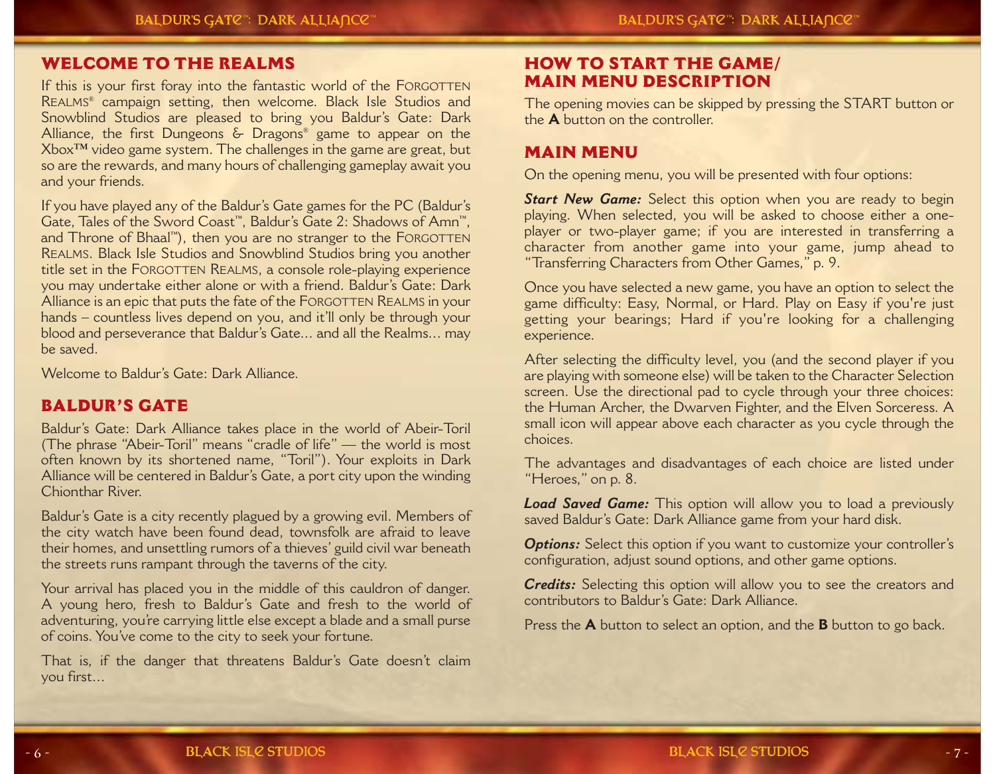## **WELCOME TO THE REALMS**

If this is your first foray into the fantastic world of the FORGOTTEN REALMS® campaign setting, then welcome. Black Isle Studios and Snowblind Studios are pleased to bring you Baldur's Gate: Dark Alliance, the first Dungeons & Dragons® game to appear on the Xbox™ video game system. The challenges in the game are great, but so are the rewards, and many hours of challenging gameplay await you and your friends.

If you have played any of the Baldur's Gate games for the PC (Baldur's Gate, Tales of the Sword Coast™, Baldur's Gate 2: Shadows of Amn™, and Throne of Bhaal™), then you are no stranger to the FORGOTTEN REALMS. Black Isle Studios and Snowblind Studios bring you another title set in the FORGOTTEN REALMS, a console role-playing experience you may undertake either alone or with a friend. Baldur's Gate: Dark Alliance is an epic that puts the fate of the FORGOTTEN REALMS in your hands – countless lives depend on you, and it'll only be through your blood and perseverance that Baldur's Gate... and all the Realms... may be saved.

Welcome to Baldur's Gate: Dark Alliance.

## **BALDUR'S GATE**

Baldur's Gate: Dark Alliance takes place in the world of Abeir-Toril (The phrase "Abeir-Toril" means "cradle of life" — the world is most often known by its shortened name, "Toril"). Your exploits in Dark Alliance will be centered in Baldur's Gate, a port city upon the winding Chionthar River.

Baldur's Gate is a city recently plagued by a growing evil. Members of the city watch have been found dead, townsfolk are afraid to leave their homes, and unsettling rumors of a thieves' guild civil war beneath the streets runs rampant through the taverns of the city.

Your arrival has placed you in the middle of this cauldron of danger. A young hero, fresh to Baldur's Gate and fresh to the world of adventuring, you're carrying little else except a blade and a small purse of coins. You've come to the city to seek your fortune.

That is, if the danger that threatens Baldur's Gate doesn't claim you first...

# **HOW TO START THE GAME/ MAIN MENU DESCRIPTION**

The opening movies can be skipped by pressing the START button or the**A** button on the controller.

## **MAIN MENU**

On the opening menu, you will be presented with four options:

*Start New Game:* Select this option when you are ready to begin playing. When selected, you will be asked to choose either a one<sup>p</sup>layer or two-player game; if you are interested in transferring a character from another game into your game, jump ahead to "Transferring Characters from Other Games," p. 9.

Once you have selected a new game, you have an option to select the game difficulty: Easy, Normal, or Hard. Play on Easy if you're just getting your bearings; Hard if you're looking for a challenging experience.

After selecting the difficulty level, you (and the second player if you are playing with someone else) will be taken to the Character Selection screen. Use the directional pad to cycle through your three choices: the Human Archer, the Dwarven Fighter, and the Elven Sorceress. A small icon will appear above each character as you cycle through the choices.

The advantages and disadvantages of each choice are listed under "Heroes," on p. 8.

*Load Saved Game:* This option will allow you to load a previously saved Baldur's Gate: Dark Alliance game from your hard disk.

**Options:** Select this option if you want to customize your controller's configuration, adjust sound options, and other game options.

*Credits:* Selecting this option will allow you to see the creators and contributors to Baldur's Gate: Dark Alliance.

Press the **A** button to select an option, and the **B** button to go back.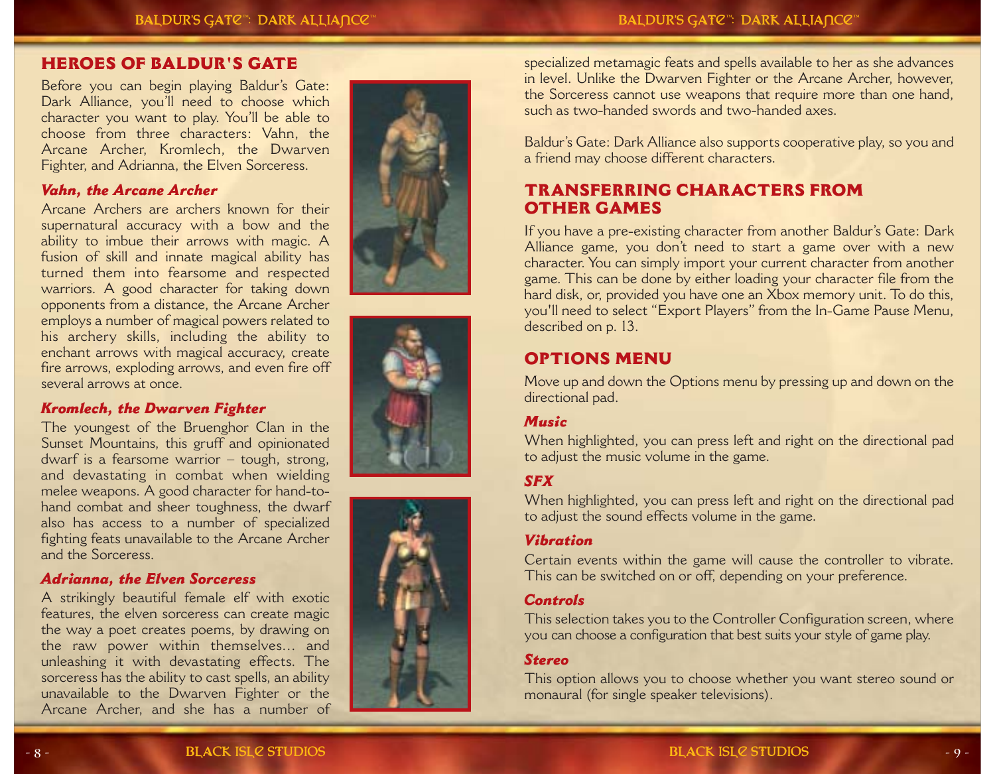## **BALDUR'S GAT@™: DARK ALLIANC@™**

# **HEROES OF BALDUR'S GATE**

Before you can begin playing Baldur's Gate: Dark Alliance, you'll need to choose which character you want to play. You'll be able to choose from three characters: Vahn, the Arcane Archer, Kromlech, the Dwarven Fighter, and Adrianna, the Elven Sorceress.

## *Vahn, the Arcane Archer*

Arcane Archers are archers known for theirsupernatural accuracy with a bow and the ability to imbue their arrows with magic. A fusion of skill and innate magical ability has turned them into fearsome and respected warriors. A good character for taking down opponents from a distance, the Arcane Archer employs a number of magical powers related to his archery skills, including the ability to enchant arrows with magical accuracy, create fire arrows, exploding arrows, and even fire off several arrows at once.

## *Kromlech, the Dwarven Fighter*

The youngest of the Bruenghor Clan in the Sunset Mountains, this gruff and opinionated dwarf is a fearsome warrior – tough, strong, and devastating in combat when wielding melee weapons. A good character for hand-tohand combat and sheer toughness, the dwarf also has access to a number of specialized fighting feats unavailable to the Arcane Archer and the Sorceress.

## *Adrianna, the Elven Sorceress*

A strikingly beautiful female elf with exotic features, the elven sorceress can create magic the way a poet creates poems, by drawing on the raw power within themselves... and unleashing it with devastating effects. The sorceress has the ability to cast spells, an ability unavailable to the Dwarven Fighter or the Arcane Archer, and she has a number of







specialized metamagic feats and spells available to her as she advances in level. Unlike the Dwarven Fighter or the Arcane Archer, however, the Sorceress cannot use weapons that require more than one hand, such as two-handed swords and two-handed axes.

Baldur's Gate: Dark Alliance also supports cooperative play, so you and a friend may choose different characters.

# **TRANSFERRING CHARACTERS FROM OTHER GAMES**

If you have a pre-existing character from another Baldur's Gate: Dark Alliance game, you don't need to start a game over with a new character. You can simply import your current character from another game. This can be done by either loading your character file from the hard disk, or, provided you have one an Xbox memory unit. To do this, you'll need to select "Export Players" from the In-Game Pause Menu, described on p. 13.

## **OPTIONS MENU**

Move up and down the Options menu by pressing up and down on the directional pad.

#### *Music*

When highlighted, you can press left and right on the directional pad to adjust the music volume in the game.

## *SFX*

When highlighted, you can press left and right on the directional pad to adjust the sound effects volume in the game.

#### *Vibration*

Certain events within the game will cause the controller to vibrate. This can be switched on or off, depending on your preference.

## *Controls*

This selection takes you to the Controller Configuration screen, where you can choose a configuration that best suits your style of game play.

#### *Stereo*

This option allows you to choose whether you want stereo sound or monaural (for single speaker televisions).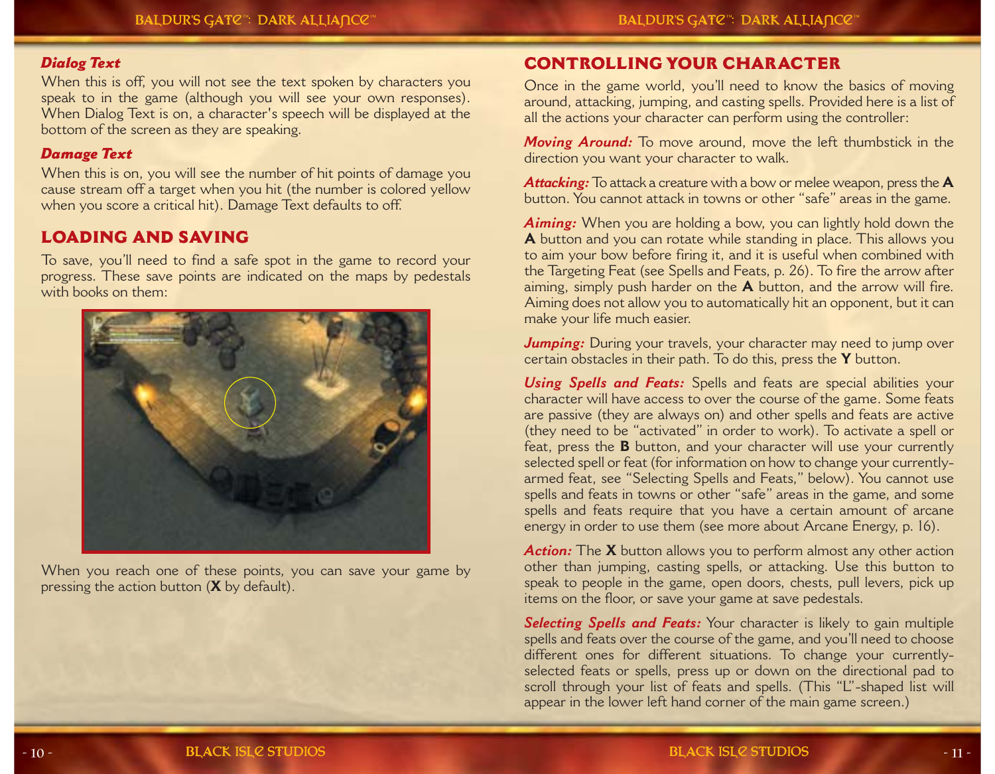## *Dialog Text*

When this is off, you will not see the text spoken by characters you speak to in the game (although you will see your own responses). When Dialog Text is on, a character's speech will be displayed at the bottom of the screen as they are speaking.

## *Damage Text*

When this is on, you will see the number of hit points of damage you cause stream off a target when you hit (the number is colored yellow when you score a critical hit). Damage Text defaults to off.

# **LOADING AND SAVING**

To save, you'll need to find a safe spot in the game to record your progress. These save points are indicated on the maps by pedestals with books on them:



When you reach one of these points, you can save your game by pressing the action button (**X** by default).

# **CONTROLLING YOUR CHARACTER**

Once in the game world, you'll need to know the basics of moving around, attacking, jumping, and casting spells. Provided here is a list of all the actions your character can perform using the controller:

*Moving Around:* To move around, move the left thumbstick in the direction you want your character to walk.

*Attacking:*To attack a creature with a bow or melee weapon, press the **A** button. You cannot attack in towns or other "safe" areas in the game.

*Aiming:* When you are holding a bow, you can lightly hold down the **A** button and you can rotate while standing in place. This allows you to aim your bow before firing it, and it is useful when combined with the Targeting Feat (see Spells and Feats, p. 26). To fire the arrow after aiming, simply push harder on the **A** button, and the arrow will fire. Aiming does not allow you to automatically hit an opponent, but it can make your life much easier.

*Jumping:* During your travels, your character may need to jump over certain obstacles in their path. To do this, press the **Y** button.

*Using Spells and Feats:* Spells and feats are special abilities your character will have access to over the course of the game. Some feats are passive (they are always on) and other spells and feats are active (they need to be "activated" in order to work). To activate a spell or feat, press the **B** button, and your character will use your currently selected spell or feat (for information on how to change your currentlyarmed feat, see "Selecting Spells and Feats," below). You cannot use spells and feats in towns or other "safe" areas in the game, and some spells and feats require that you have a certain amount of arcane energy in order to use them (see more about Arcane Energy, p. 16).

*Action:* The **X** button allows you to perform almost any other action other than jumping, casting spells, or attacking. Use this button to speak to people in the game, open doors, chests, pull levers, pick up items on the floor, or save your game at save pedestals.

*Selecting Spells and Feats:* Your character is likely to gain multiple spells and feats over the course of the game, and you'll need to choose different ones for different situations. To change your currentlyselected feats or spells, press up or down on the directional pad to scroll through your list of feats and spells. (This "L"-shaped list will appear in the lower left hand corner of the main game screen.)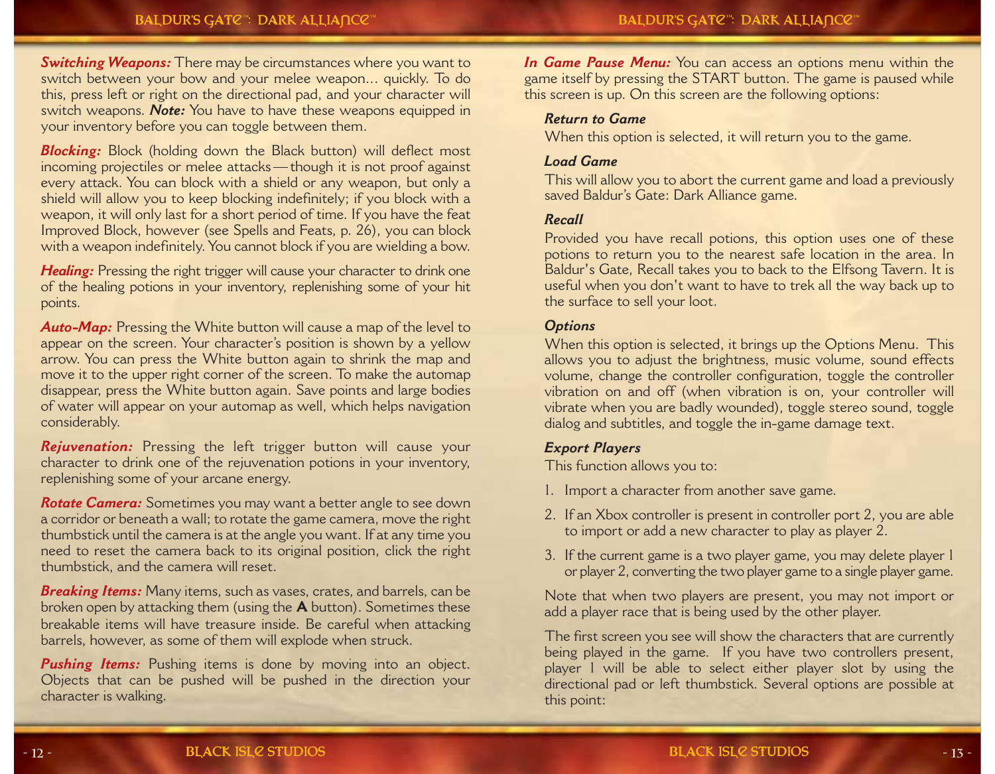*Switching Weapons:* There may be circumstances where you want to switch between your bow and your melee weapon... quickly. To do this, press left or right on the directional pad, and your character will switch weapons. *Note:* You have to have these weapons equipped in your inventory before you can toggle between them.

*Blocking:* Block (holding down the Black button) will deflect most incoming projectiles or melee attacks — though it is not proof against every attack. You can block with a shield or any weapon, but only a shield will allow you to keep blocking indefinitely; if you block with a weapon, it will only last for a short period of time. If you have the feat Improved Block, however (see Spells and Feats, p. 26), you can block with a weapon indefinitely. You cannot block if you are wielding a bow.

*Healing:* Pressing the right trigger will cause your character to drink one of the healing potions in your inventory, replenishing some of your hit points.

*Auto-Map:* Pressing the White button will cause a map of the level to appear on the screen. Your character's position is shown by a yellow arrow. You can press the White button again to shrink the map and move it to the upper right corner of the screen. To make the automap disappear, press the White button again. Save points and large bodies of water will appear on your automap as well, which helps navigation considerably.

*Rejuvenation:* Pressing the left trigger button will cause your character to drink one of the rejuvenation potions in your inventory, replenishing some of your arcane energy.

*Rotate Camera:* Sometimes you may want a better angle to see down a corridor or beneath a wall; to rotate the game camera, move the right thumbstick until the camera is at the angle you want. If at any time you need to reset the camera back to its original position, click the right thumbstick, and the camera will reset.

*Breaking Items:* Many items, such as vases, crates, and barrels, can be broken open by attacking them (using the **A** button). Sometimes these breakable items will have treasure inside. Be careful when attacking barrels, however, as some of them will explode when struck.

**Pushing Items:** Pushing items is done by moving into an object. Objects that can be pushed will be pushed in the direction your character is walking.

*In Game Pause Menu:* You can access an options menu within the game itself by pressing the START button. The game is paused while this screen is up. On this screen are the following options:

#### *Return to Game*

When this option is selected, it will return you to the game.

#### *Load Game*

This will allow you to abort the current game and load a previously saved Baldur's Gate: Dark Alliance game.

#### *Recall*

Provided you have recall potions, this option uses one of these potions to return you to the nearest safe location in the area. In Baldur's Gate, Recall takes you to back to the Elfsong Tavern. It is useful when you don't want to have to trek all the way back up to the surface to sell your loot.

#### *Options*

When this option is selected, it brings up the Options Menu. This allows you to adjust the brightness, music volume, sound effects volume, change the controller configuration, toggle the controller vibration on and off (when vibration is on, your controller will vibrate when you are badly wounded), toggle stereo sound, toggle dialog and subtitles, and toggle the in-game damage text.

## *Export Players*

This function allows you to:

- 1. Import a character from another save game.
- 2. If an Xbox controller is present in controller port 2, you are able to import or add a new character to play as player 2.
- 3. If the current game is a two player game, you may delete player 1 or player 2, converting the two player game to a single player game.

Note that when two players are present, you may not import or add a player race that is being used by the other player.

The first screen you see will show the characters that are currently being played in the game. If you have two controllers present, <sup>p</sup>layer 1 will be able to select either player slot by using the directional pad or left thumbstick. Several options are possible at this point: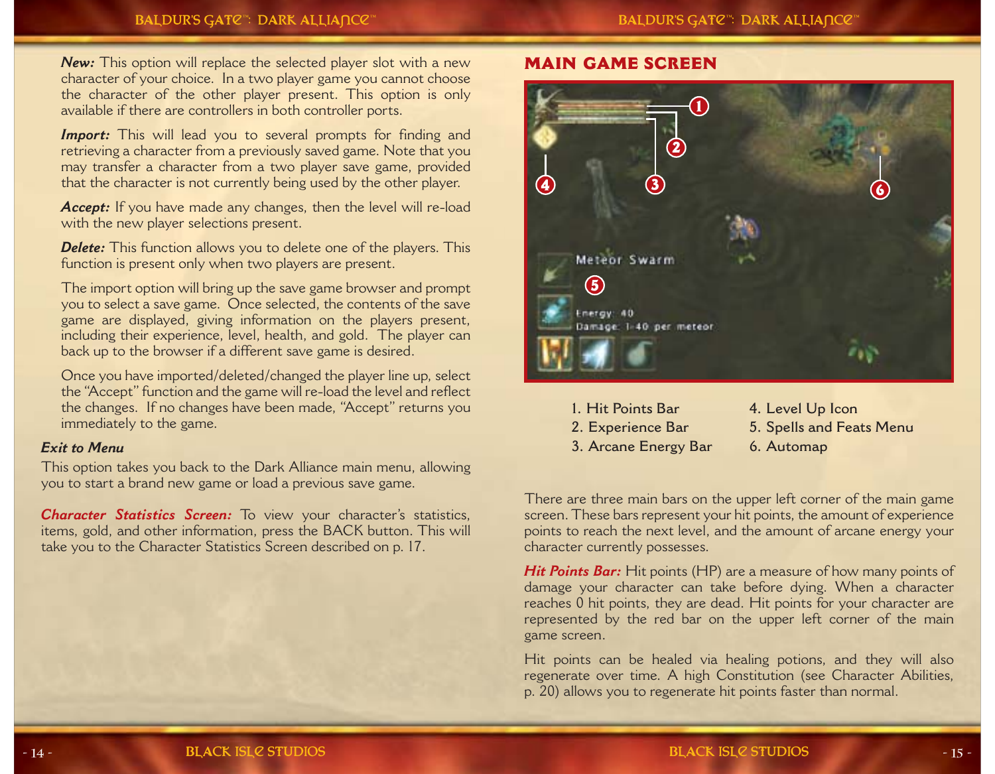#### **BALDUR'S GAT@™: DARK ALLIANC@™**

*New:* This option will replace the selected player slot with a new character of your choice. In a two player game you cannot choose the character of the other player present. This option is only available if there are controllers in both controller ports.

*Import:* This will lead you to several prompts for finding and retrieving a character from a previously saved game. Note that you may transfer a character from a two player save game, provided that the character is not currently being used by the other player.

*Accept:* If you have made any changes, then the level will re-load with the new player selections present.

*Delete:* This function allows you to delete one of the players. This function is present only when two players are present.

The import option will bring up the save game browser and prompt you to select a save game. Once selected, the contents of the save game are displayed, giving information on the players present, including their experience, level, health, and gold. The player can back up to the browser if a different save game is desired.

Once you have imported/deleted/changed the player line up, select the "Accept" function and the game will re-load the level and reflect the changes. If no changes have been made, "Accept" returns you immediately to the game.

## *Exit to Menu*

This option takes you back to the Dark Alliance main menu, allowing you to start a brand new game or load a previous save game.

*Character Statistics Screen:* To view your character's statistics, items, gold, and other information, press the BACK button. This will take you to the Character Statistics Screen described on p. 17.

# **MAIN GAME SCREEN**



| 1. Hit Points Bar    |
|----------------------|
| 2. Experience Bar    |
| 3. Arcane Energy Bar |

- **4. Level Up Icon 5. Spells and Feats Menu**
- **6. Automap**

There are three main bars on the upper left corner of the main game screen. These bars represent your hit points, the amount of experience points to reach the next level, and the amount of arcane energy your character currently possesses.

*Hit Points Bar:* Hit points (HP) are a measure of how many points of damage your character can take before dying. When a character reaches 0 hit points, they are dead. Hit points for your character are represented by the red bar on the upper left corner of the main game screen.

Hit points can be healed via healing potions, and they will also regenerate over time. A high Constitution (see Character Abilities, p. 20) allows you to regenerate hit points faster than normal.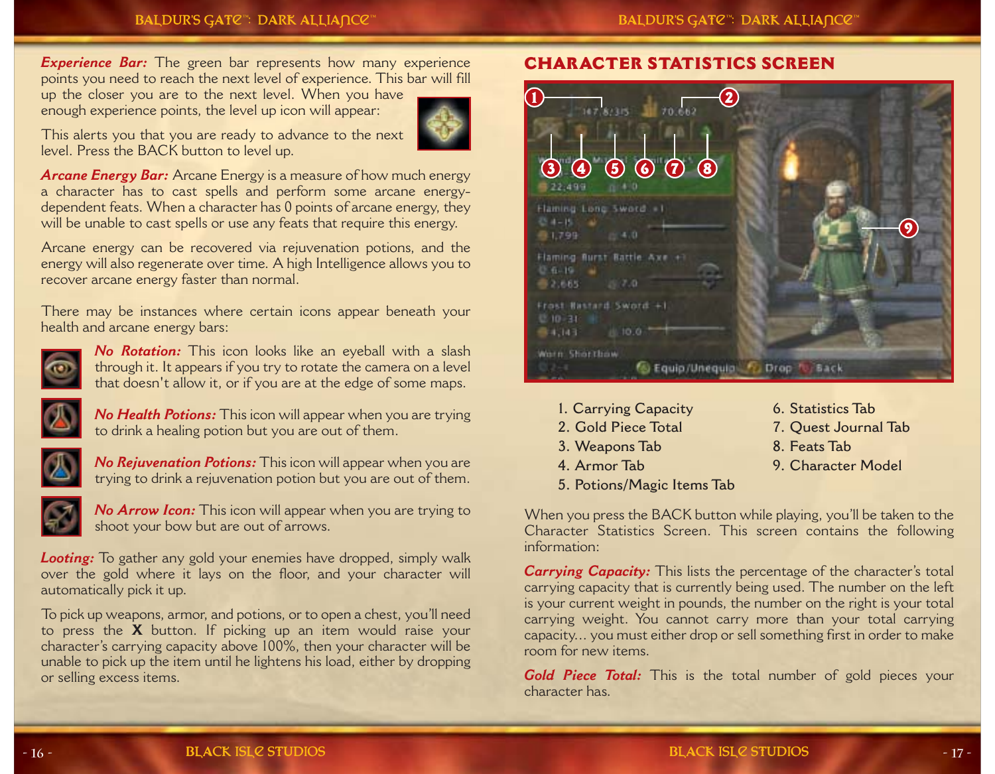**Experience Bar:** The green bar represents how many experience points you need to reach the next level of experience. This bar will fill

up the closer you are to the next level. When you have enough experience points, the level up icon will appear:



This alerts you that you are ready to advance to the next level. Press the BACK button to level up.

*Arcane Energy Bar:* Arcane Energy is a measure of how much energy a character has to cast spells and perform some arcane energydependent feats. When a character has 0 points of arcane energy, they will be unable to cast spells or use any feats that require this energy.

Arcane energy can be recovered via rejuvenation potions, and the energy will also regenerate over time. A high Intelligence allows you to recover arcane energy faster than normal.

There may be instances where certain icons appear beneath your health and arcane energy bars:



*No Rotation:* This icon looks like an eyeball with a slash through it. It appears if you try to rotate the camera on a level that doesn't allow it, or if you are at the edge of some maps.



*No Health Potions:* This icon will appear when you are trying to drink a healing potion but you are out of them.



*No Rejuvenation Potions:*This icon will appear when you are trying to drink a rejuvenation potion but you are out of them.



*No Arrow Icon:* This icon will appear when you are trying to shoot your bow but are out of arrows.

*Looting:* To gather any gold your enemies have dropped, simply walk over the gold where it lays on the floor, and your character will automatically pick it up.

To pick up weapons, armor, and potions, or to open a chest, you'll need to press the **X** button. If picking up an item would raise your character's carrying capacity above 100%, then your character will be unable to pick up the item until he lightens his load, either by dropping or selling excess items.

# **CHARACTER STATISTICS SCREEN**



- **1. Carrying Capacity**
- **2. Gold Piece Total**
- **3. Weapons Tab**
- **4. Armor Tab**
- **5. Potions/Magic Items Tab**
- **6. Statistics Tab**
- **7. Quest Journal Tab**
- **8. Feats Tab**
- **9. Character Model**

When you press the BACK button while playing, you'll be taken to the Character Statistics Screen. This screen contains the following information:

*Carrying Capacity:* This lists the percentage of the character's total carrying capacity that is currently being used. The number on the left is your current weight in pounds, the number on the right is your total carrying weight. You cannot carry more than your total carrying capacity... you must either drop or sell something first in order to make room for new items.

*Gold Piece Total:* This is the total number of gold pieces your character has.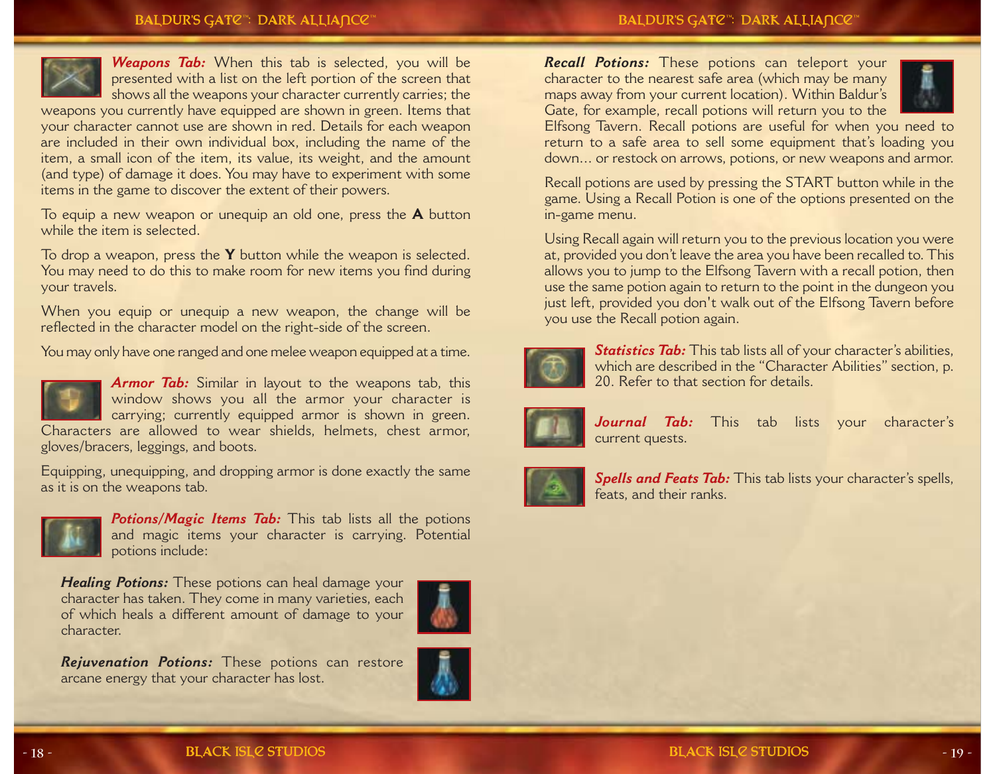## **BALDUR'S GAT@™: DARK ALLIANC@™**



*Weapons Tab:* When this tab is selected, you will be presented with a list on the left portion of the screen that shows all the weapons your character currently carries; the

weapons you currently have equipped are shown in green. Items that your character cannot use are shown in red. Details for each weapon are included in their own individual box, including the name of the item, a small icon of the item, its value, its weight, and the amount (and type) of damage it does. You may have to experiment with some items in the game to discover the extent of their powers.

To equip a new weapon or unequip an old one, press the **A** button while the item is selected.

To drop a weapon, press the **Y** button while the weapon is selected. You may need to do this to make room for new items you find during your travels.

When you equip or unequip a new weapon, the change will be reflected in the character model on the right-side of the screen.

You may only have one ranged and one melee weapon equipped at a time.



*Armor Tab:* Similar in layout to the weapons tab, this window shows you all the armor your character is carrying; currently equipped armor is shown in green. Characters are allowed to wear shields, helmets, chest armor, <sup>g</sup>loves/bracers, leggings, and boots.

Equipping, unequipping, and dropping armor is done exactly the same as it is on the weapons tab.



*Potions/Magic Items Tab:* This tab lists all the potions and magic items your character is carrying. Potential potions include:

*Healing Potions:* These potions can heal damage your character has taken. They come in many varieties, each of which heals a different amount of damage to your character.



*Rejuvenation Potions:* These potions can restore arcane energy that your character has lost.



*Recall Potions:* These potions can teleport your character to the nearest safe area (which may be many maps away from your current location). Within Baldur's Gate, for example, recall potions will return you to the



Elfsong Tavern. Recall potions are useful for when you need to return to a safe area to sell some equipment that's loading you down... or restock on arrows, potions, or new weapons and armor.

Recall potions are used by pressing the START button while in the game. Using a Recall Potion is one of the options presented on the in-game menu.

Using Recall again will return you to the previous location you were at, provided you don't leave the area you have been recalled to. This allows you to jump to the Elfsong Tavern with a recall potion, then use the same potion again to return to the point in the dungeon you just left, provided you don't walk out of the Elfsong Tavern before you use the Recall potion again.



*Statistics Tab:* This tab lists all of your character's abilities, which are described in the "Character Abilities" section, p. 20. Refer to that section for details.



*Journal Tab:* This tab lists your character's current quests.



*Spells and Feats Tab:* This tab lists your character's spells, feats, and their ranks.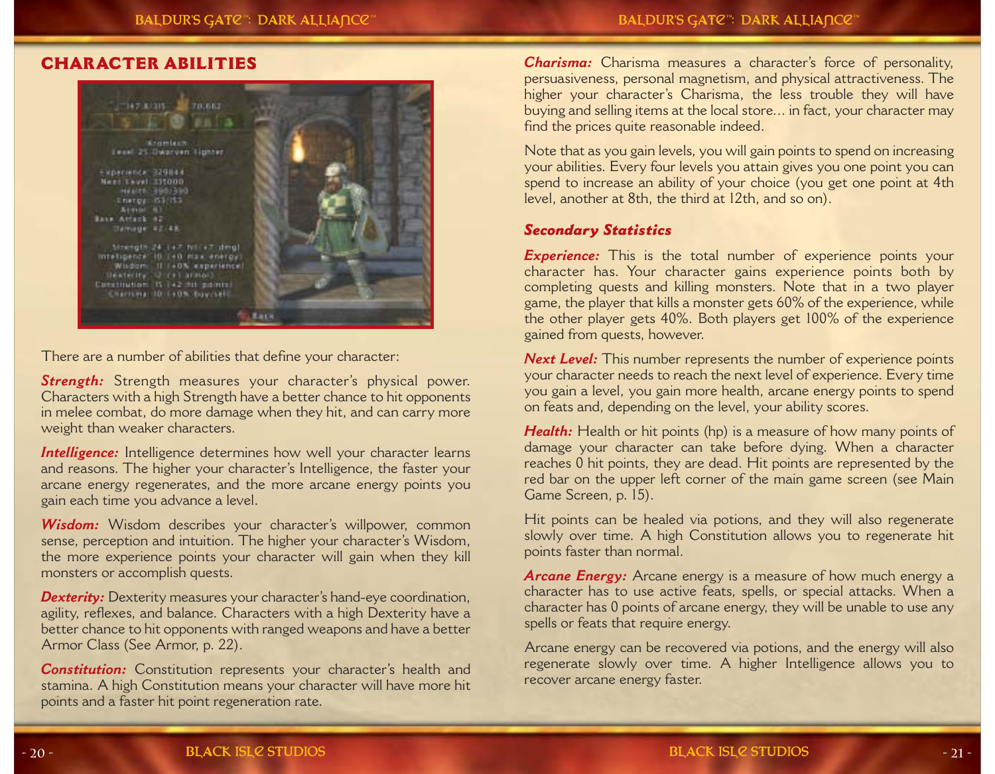# **CHARACTER ABILITIES**



There are a number of abilities that define your character:

**Strength:** Strength measures your character's physical power. Characters with a high Strength have a better chance to hit opponents in melee combat, do more damage when they hit, and can carry more weight than weaker characters.

*Intelligence:* Intelligence determines how well your character learns and reasons. The higher your character's Intelligence, the faster your arcane energy regenerates, and the more arcane energy points you gain each time you advance a level.

*Wisdom:* Wisdom describes your character's willpower, common sense, perception and intuition. The higher your character's Wisdom, the more experience points your character will gain when they kill monsters or accomplish quests.

**Dexterity:** Dexterity measures your character's hand-eye coordination, agility, reflexes, and balance. Characters with a high Dexterity have a better chance to hit opponents with ranged weapons and have a better Armor Class (See Armor, p. 22).

*Constitution:* Constitution represents your character's health and stamina. A high Constitution means your character will have more hit points and a faster hit point regeneration rate.

*Charisma:* Charisma measures a character's force of personality, persuasiveness, personal magnetism, and physical attractiveness. The higher your character's Charisma, the less trouble they will have buying and selling items at the local store... in fact, your character may find the prices quite reasonable indeed.

Note that as you gain levels, you will gain points to spend on increasing your abilities. Every four levels you attain gives you one point you can spend to increase an ability of your choice (you get one point at 4th level, another at 8th, the third at 12th, and so on).

#### *Secondary Statistics*

**Experience:** This is the total number of experience points your character has. Your character gains experience points both by completing quests and killing monsters. Note that in a two player game, the player that kills a monster gets 60% of the experience, while the other player gets 40%. Both players get 100% of the experience gained from quests, however.

*Next Level:* This number represents the number of experience points your character needs to reach the next level of experience. Every time you gain a level, you gain more health, arcane energy points to spend on feats and, depending on the level, your ability scores.

*Health:* Health or hit points (hp) is a measure of how many points of damage your character can take before dying. When a character reaches 0 hit points, they are dead. Hit points are represented by the red bar on the upper left corner of the main game screen (see Main Game Screen, p. 15).

Hit points can be healed via potions, and they will also regenerate slowly over time. A high Constitution allows you to regenerate hit points faster than normal.

*Arcane Energy:* Arcane energy is a measure of how much energy a character has to use active feats, spells, or special attacks. When a character has 0 points of arcane energy, they will be unable to use any spells or feats that require energy.

Arcane energy can be recovered via potions, and the energy will also regenerate slowly over time. A higher Intelligence allows you to recover arcane energy faster.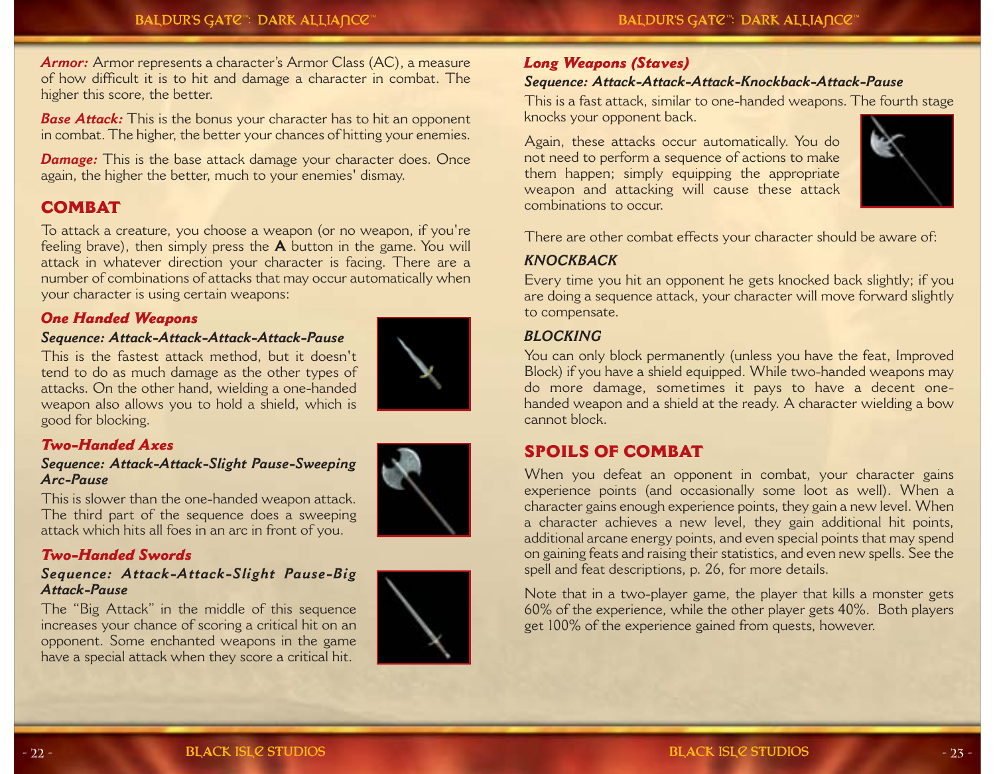*Armor:* Armor represents a character's Armor Class (AC), a measure of how difficult it is to hit and damage a character in combat. The higher this score, the better.

*Base Attack:* This is the bonus your character has to hit an opponent in combat. The higher, the better your chances of hitting your enemies.

*Damage:* This is the base attack damage your character does. Once again, the higher the better, much to your enemies' dismay.

# **COMBAT**

To attack a creature, you choose a weapon (or no weapon, if you're feeling brave), then simply press the **A** button in the game. You will attack in whatever direction your character is facing. There are a number of combinations of attacks that may occur automatically when your character is using certain weapons:

## *One Handed Weapons*

#### *Sequence: Attack-Attack-Attack-Attack-Pause*

This is the fastest attack method, but it doesn't tend to do as much damage as the other types of attacks. On the other hand, wielding a one-handed weapon also allows you to hold a shield, which is good for blocking.



## *Two-Handed Axes*

#### *Sequence: Attack-Attack-Slight Pause-Sweeping Arc-Pause*

This is slower than the one-handed weapon attack. The third part of the sequence does a sweeping attack which hits all foes in an arc in front of you.

## *Two-Handed Swords*

#### *Sequence: Attack-Attack-Slight Pause-Big Attack-Pause*

The "Big Attack" in the middle of this sequence increases your chance of scoring a critical hit on an opponent. Some enchanted weapons in the game have a special attack when they score a critical hit.



#### *Long Weapons (Staves)*

## *Sequence: Attack-Attack-Attack-Knockback-Attack-Pause*

This is a fast attack, similar to one-handed weapons. The fourth stage knocks your opponent back.

Again, these attacks occur automatically. You do not need to perform a sequence of actions to make them happen; simply equipping the appropriate weapon and attacking will cause these attack combinations to occur.



There are other combat effects your character should be aware of:

#### *KNOCKBACK*

Every time you hit an opponent he gets knocked back slightly; if you are doing a sequence attack, your character will move forward slightly to compensate.

#### *BLOCKING*

You can only block permanently (unless you have the feat, Improved Block) if you have a shield equipped. While two-handed weapons may do more damage, sometimes it pays to have a decent onehanded weapon and a shield at the ready. A character wielding a bow cannot block.

## **SPOILS OF COMBAT**

When you defeat an opponent in combat, your character gains experience points (and occasionally some loot as well). When a character gains enough experience points, they gain a new level. When a character achieves a new level, they gain additional hit points, additional arcane energy points, and even special points that may spend on gaining feats and raising their statistics, and even new spells. See the spell and feat descriptions, p. 26, for more details.

Note that in a two-player game, the player that kills a monster gets 60% of the experience, while the other player gets 40%. Both players get 100% of the experience gained from quests, however.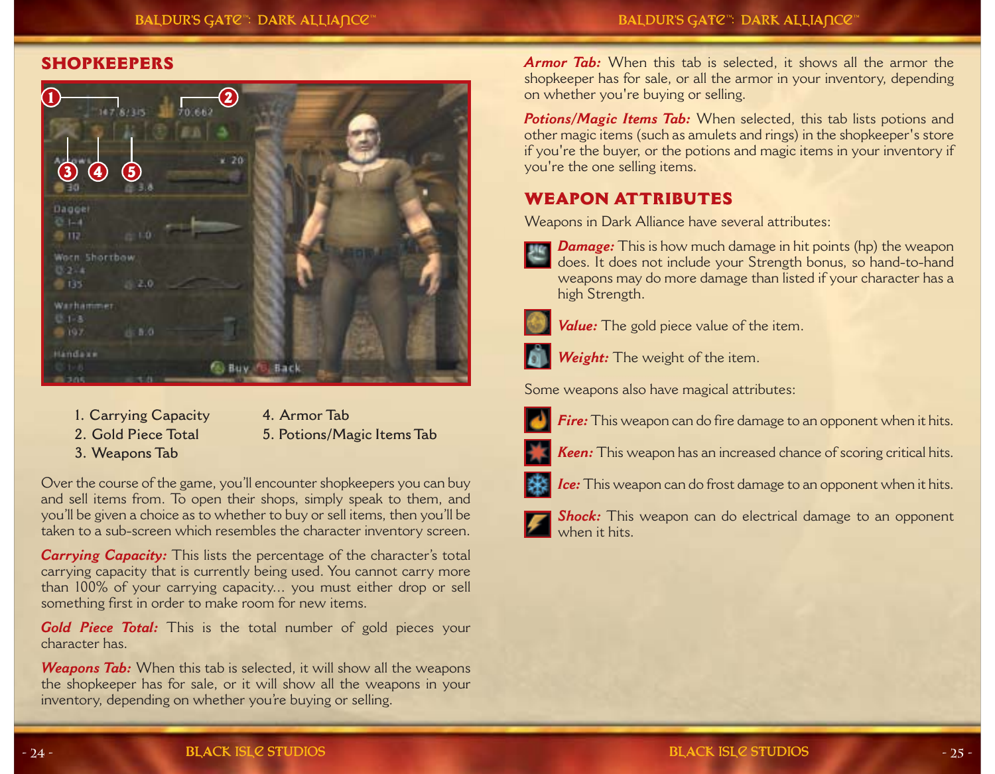## **SHOPKEEPERS**



- **1. Carrying Capacity**
- **2. Gold Piece Total**
- **3. Weapons Tab**

**4. Armor Tab**

**5. Potions/Magic Items Tab**

Over the course of the game, you'll encounter shopkeepers you can buy and sell items from. To open their shops, simply speak to them, and you'll be given a choice as to whether to buy or sell items, then you'll be taken to a sub-screen which resembles the character inventory screen.

*Carrying Capacity:* This lists the percentage of the character's total carrying capacity that is currently being used. You cannot carry more than 100% of your carrying capacity... you must either drop or sell something first in order to make room for new items.

*Gold Piece Total:* This is the total number of gold pieces your character has.

*Weapons Tab:* When this tab is selected, it will show all the weapons the shopkeeper has for sale, or it will show all the weapons in your inventory, depending on whether you're buying or selling.

*Armor Tab:* When this tab is selected, it shows all the armor the shopkeeper has for sale, or all the armor in your inventory, depending on whether you're buying or selling.

Potions/Magic Items Tab: When selected, this tab lists potions and other magic items (such as amulets and rings) in the shopkeeper's store if you're the buyer, or the potions and magic items in your inventory if you're the one selling items.

# **WEAPON ATTRIBUTES**

Weapons in Dark Alliance have several attributes:



*Damage:* This is how much damage in hit points (hp) the weapon does. It does not include your Strength bonus, so hand-to-hand weapons may do more damage than listed if your character has a high Strength.



*Value:* The gold piece value of the item.



*Weight:* The weight of the item.

Some weapons also have magical attributes:



*Fire:*This weapon can do fire damage to an opponent when it hits.



- *Ice:* This weapon can do frost damage to an opponent when it hits.
- *Shock:* This weapon can do electrical damage to an opponent when it hits.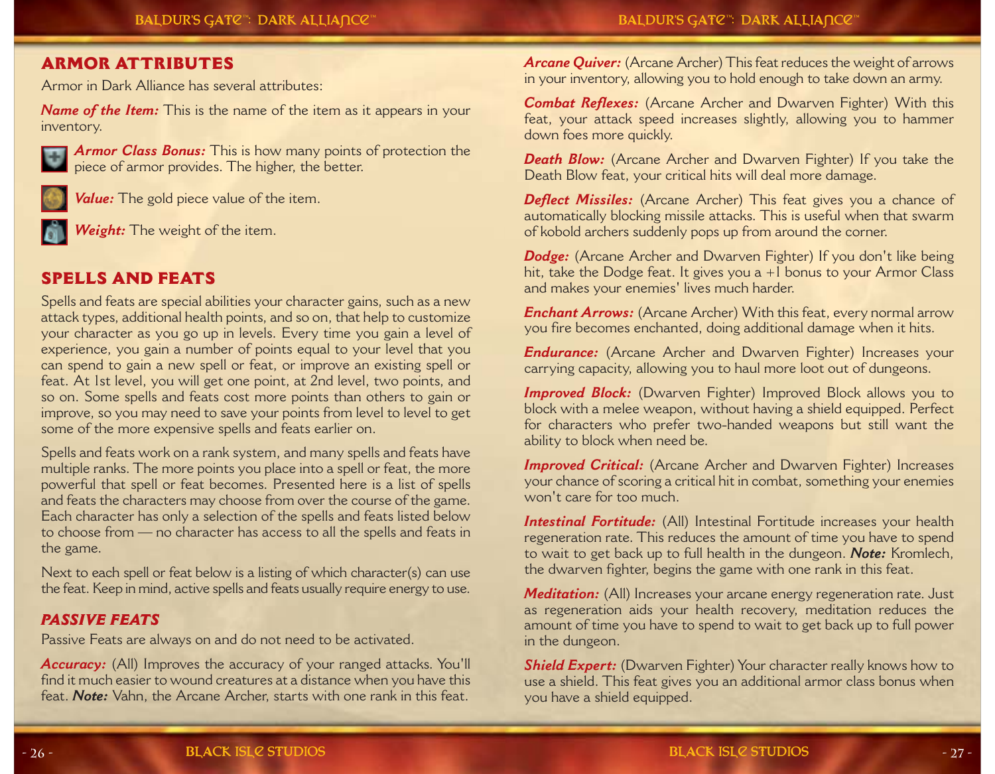# **ARMOR ATTRIBUTES**

Armor in Dark Alliance has several attributes:

*Name of the Item:* This is the name of the item as it appears in your inventory.



*Armor Class Bonus:* This is how many points of protection the piece of armor provides. The higher, the better.



*Value:* The gold piece value of the item.

*Weight:* The weight of the item.

## **SPELLS AND FEATS**

Spells and feats are special abilities your character gains, such as a new attack types, additional health points, and so on, that help to customize your character as you go up in levels. Every time you gain a level of experience, you gain a number of points equal to your level that you can spend to gain a new spell or feat, or improve an existing spell or feat. At 1st level, you will get one point, at 2nd level, two points, and so on. Some spells and feats cost more points than others to gain or improve, so you may need to save your points from level to level to get some of the more expensive spells and feats earlier on.

Spells and feats work on a rank system, and many spells and feats have multiple ranks. The more points you place into a spell or feat, the more powerful that spell or feat becomes. Presented here is a list of spells and feats the characters may choose from over the course of the game. Each character has only a selection of the spells and feats listed below to choose from — no character has access to all the spells and feats in the game.

Next to each spell or feat below is a listing of which character(s) can use the feat. Keep in mind, active spells and feats usually require energy to use.

## *PASSIVE FEATS*

Passive Feats are always on and do not need to be activated.

Accuracy: (All) Improves the accuracy of your ranged attacks. You'll find it much easier to wound creatures at a distance when you have this feat. *Note:* Vahn, the Arcane Archer, starts with one rank in this feat.

*Arcane Quiver:* (Arcane Archer) This feat reduces the weight of arrows in your inventory, allowing you to hold enough to take down an army.

*Combat Reflexes:* (Arcane Archer and Dwarven Fighter) With this feat, your attack speed increases slightly, allowing you to hammer down foes more quickly.

*Death Blow:* (Arcane Archer and Dwarven Fighter) If you take the Death Blow feat, your critical hits will deal more damage.

**Deflect Missiles:** (Arcane Archer) This feat gives you a chance of automatically blocking missile attacks. This is useful when that swarm of kobold archers suddenly pops up from around the corner.

*Dodge:* (Arcane Archer and Dwarven Fighter) If you don't like being hit, take the Dodge feat. It gives you a +1 bonus to your Armor Class and makes your enemies' lives much harder.

*Enchant Arrows:* (Arcane Archer) With this feat, every normal arrow you fire becomes enchanted, doing additional damage when it hits.

*Endurance:* (Arcane Archer and Dwarven Fighter) Increases your carrying capacity, allowing you to haul more loot out of dungeons.

*Improved Block:* (Dwarven Fighter) Improved Block allows you to block with a melee weapon, without having a shield equipped. Perfect for characters who prefer two-handed weapons but still want the ability to block when need be.

**Improved Critical:** (Arcane Archer and Dwarven Fighter) Increases your chance of scoring a critical hit in combat, something your enemies won't care for too much.

*Intestinal Fortitude:* (All) Intestinal Fortitude increases your health regeneration rate. This reduces the amount of time you have to spend to wait to get back up to full health in the dungeon. *Note:* Kromlech, the dwarven fighter, begins the game with one rank in this feat.

*Meditation:* (All) Increases your arcane energy regeneration rate. Just as regeneration aids your health recovery, meditation reduces the amount of time you have to spend to wait to get back up to full power in the dungeon.

*Shield Expert:* (Dwarven Fighter) Your character really knows how to use a shield. This feat gives you an additional armor class bonus when you have a shield equipped.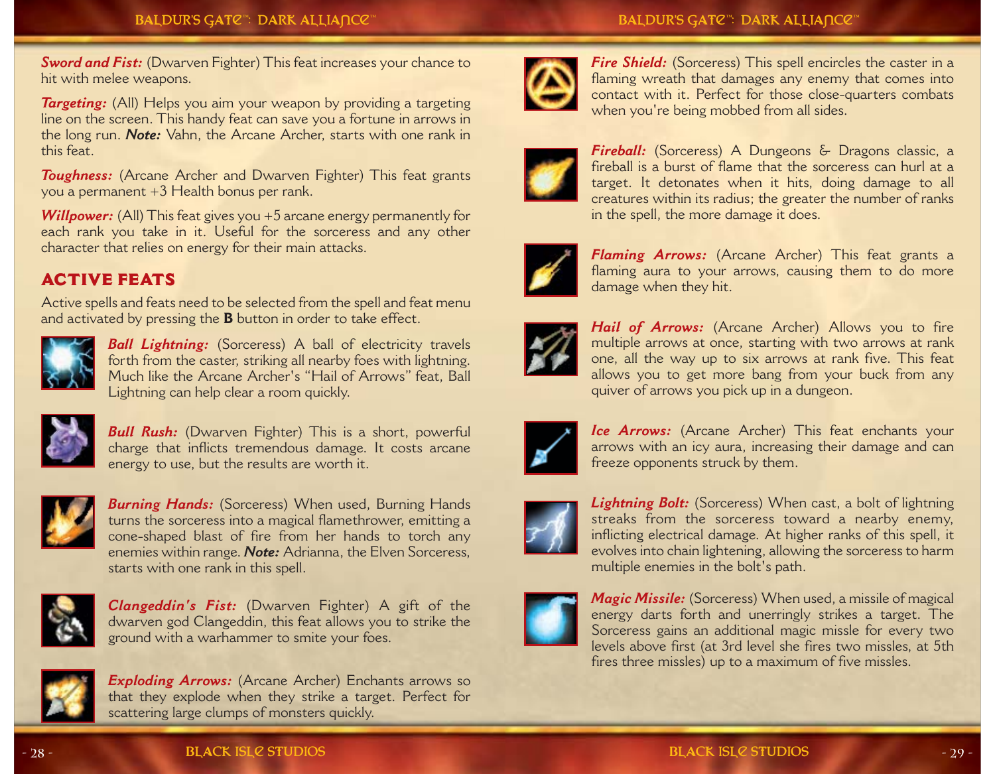#### **BALDUR'S GAT@™: DARK ALLIA∩C@™**

## **BALDUR'S GAT@™: DARK ALLIANC@™**

*Sword and Fist:* (Dwarven Fighter) This feat increases your chance to hit with melee weapons.

*Targeting:* (All) Helps you aim your weapon by providing a targeting line on the screen. This handy feat can save you a fortune in arrows in the long run. *Note:* Vahn, the Arcane Archer, starts with one rank in this feat.

*Toughness:* (Arcane Archer and Dwarven Fighter) This feat grants you a permanent +3 Health bonus per rank.

*Willpower:* (All) This feat gives you +5 arcane energy permanently for each rank you take in it. Useful for the sorceress and any other character that relies on energy for their main attacks.

# **ACTIVE FEATS**

Active spells and feats need to be selected from the spell and feat menu and activated by pressing the **B** button in order to take effect.



*Ball Lightning:* (Sorceress) A ball of electricity travels forth from the caster, striking all nearby foes with lightning. Much like the Arcane Archer's "Hail of Arrows" feat, Ball Lightning can help clear a room quickly.



*Bull Rush:* (Dwarven Fighter) This is a short, powerful charge that inflicts tremendous damage. It costs arcane energy to use, but the results are worth it.



*Burning Hands:* (Sorceress) When used, Burning Hands turns the sorceress into a magical flamethrower, emitting a cone-shaped blast of fire from her hands to torch any enemies within range. *Note:* Adrianna, the Elven Sorceress, starts with one rank in this spell.



*Clangeddin's Fist:* (Dwarven Fighter) A gift of the dwarven god Clangeddin, this feat allows you to strike the ground with a warhammer to smite your foes.



**Exploding Arrows:** (Arcane Archer) Enchants arrows so that they explode when they strike a target. Perfect for scattering large clumps of monsters quickly.



*Fire Shield:* (Sorceress) This spell encircles the caster in a flaming wreath that damages any enemy that comes into contact with it. Perfect for those close-quarters combats when you're being mobbed from all sides.



*Fireball:* (Sorceress) A Dungeons & Dragons classic, a fireball is a burst of flame that the sorceress can hurl at atarget. It detonates when it hits, doing damage to all creatures within its radius; the greater the number of ranks in the spell, the more damage it does.



*Flaming Arrows:* (Arcane Archer) This feat grants a flaming aura to your arrows, causing them to do more damage when they hit.



*Hail of Arrows:* (Arcane Archer) Allows you to fire multiple arrows at once, starting with two arrows at rank one, all the way up to six arrows at rank five. This feat allows you to get more bang from your buck from any quiver of arrows you pick up in a dungeon.



*Ice Arrows:* (Arcane Archer) This feat enchants your arrows with an icy aura, increasing their damage and can freeze opponents struck by them.



Lightning Bolt: (Sorceress) When cast, a bolt of lightning streaks from the sorceress toward a nearby enemy, inflicting electrical damage. At higher ranks of this spell, it evolves into chain lightening, allowing the sorceress to harm multiple enemies in the bolt's path.



*Magic Missile:* (Sorceress) When used, a missile of magical energy darts forth and unerringly strikes a target. The Sorceress gains an additional magic missle for every two levels above first (at 3rd level she fires two missles, at 5th fires three missles) up to a maximum of five missles.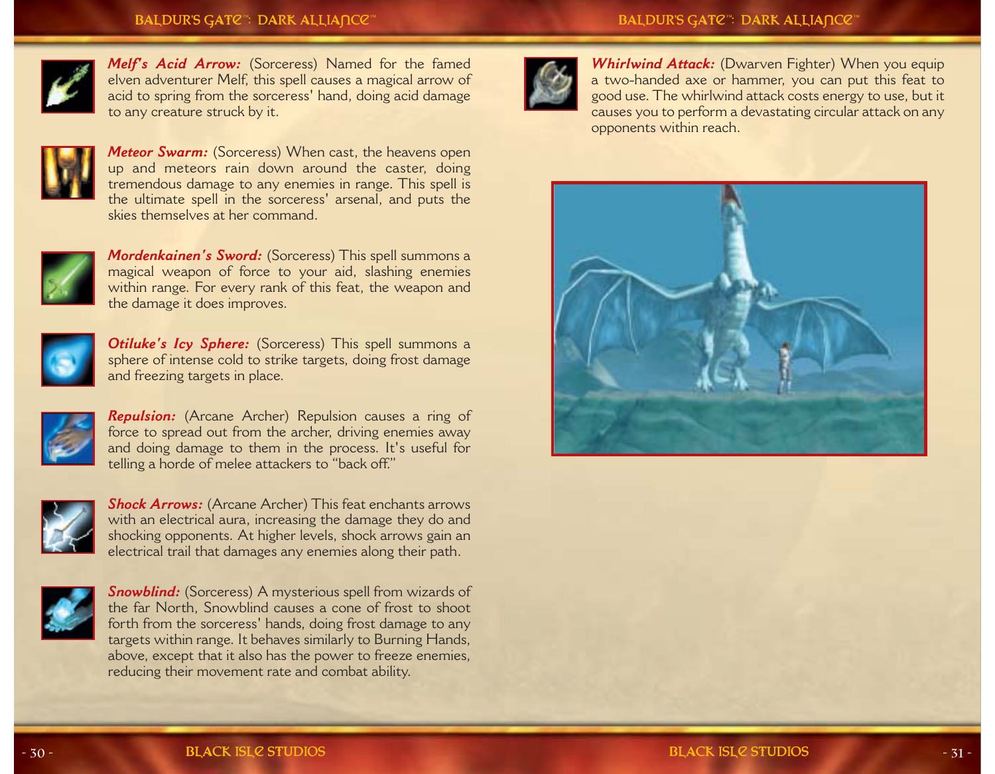## **BALDUR'S GAT@™: DARK ALLIANC@™**



*Melf's Acid Arrow:* (Sorceress) Named for the famed elven adventurer Melf, this spell causes a magical arrow of acid to spring from the sorceress' hand, doing acid damage to any creature struck by it.

**BALDUR'S GAT@™: DARK ALLIA∩C@™** 



*Meteor Swarm:* (Sorceress) When cast, the heavens open up and meteors rain down around the caster, doing tremendous damage to any enemies in range. This spell is the ultimate spell in the sorceress' arsenal, and puts the skies themselves at her command.



*Mordenkainen's Sword:* (Sorceress) This spell summons a magical weapon of force to your aid, slashing enemies within range. For every rank of this feat, the weapon and the damage it does improves.



**Otiluke's Icy Sphere:** (Sorceress) This spell summons a sphere of intense cold to strike targets, doing frost damage and freezing targets in place.



*Repulsion:* (Arcane Archer) Repulsion causes a ring of force to spread out from the archer, driving enemies away and doing damage to them in the process. It's useful for telling a horde of melee attackers to "back off."



*Shock Arrows:* (Arcane Archer) This feat enchants arrows with an electrical aura, increasing the damage they do and shocking opponents. At higher levels, shock arrows gain an electrical trail that damages any enemies along their path.



*Snowblind:* (Sorceress) A mysterious spell from wizards of the far North, Snowblind causes a cone of frost to shoot forth from the sorceress' hands, doing frost damage to any targets within range. It behaves similarly to Burning Hands, above, except that it also has the power to freeze enemies, reducing their movement rate and combat ability.



*Whirlwind Attack:* (Dwarven Fighter) When you equip a two-handed axe or hammer, you can put this feat to good use. The whirlwind attack costs energy to use, but it causes you to perform a devastating circular attack on any opponents within reach.

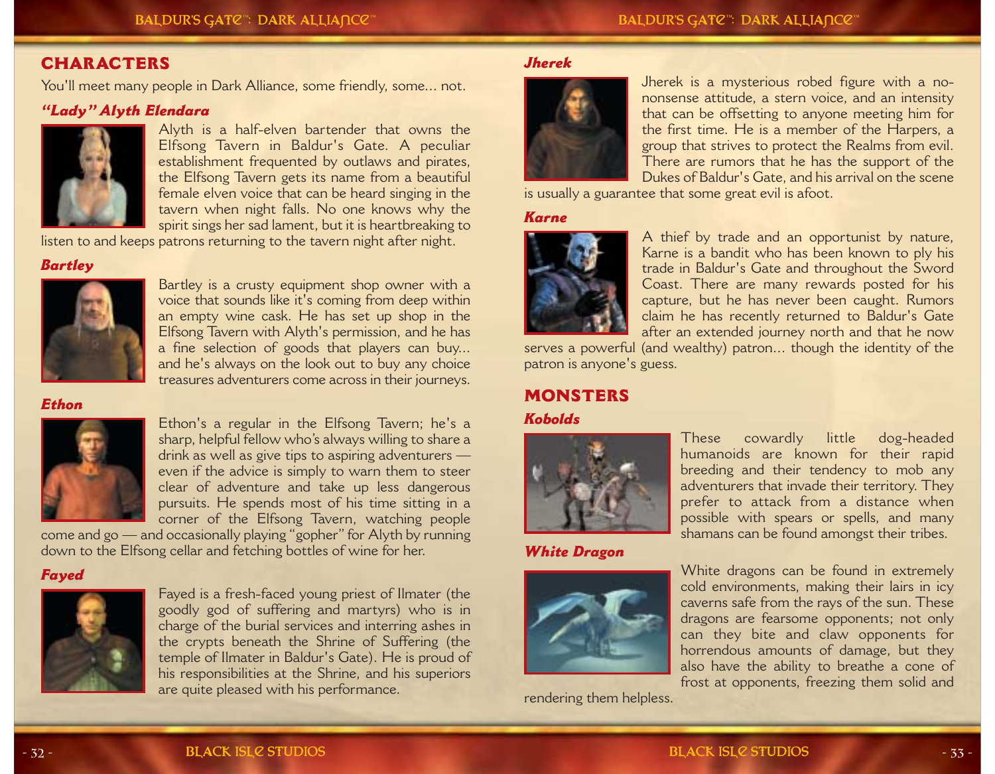#### **BALDUR'S GAT@™: DARK ALLIA∩C@™**

## **CHARACTERS**

You'll meet many people in Dark Alliance, some friendly, some... not.

#### *"Lady" Alyth Elendara*



Alyth is a half-elven bartender that owns the Elfsong Tavern in Baldur's Gate. A peculiar establishment frequented by outlaws and pirates, the Elfsong Tavern gets its name from a beautiful female elven voice that can be heard singing in the tavern when night falls. No one knows why the spirit sings her sad lament, but it is heartbreaking to

listen to and keeps patrons returning to the tavern night after night.

#### *Bartley*



Bartley is a crusty equipment shop owner with a voice that sounds like it's coming from deep within an empty wine cask. He has set up shop in the Elfsong Tavern with Alyth's permission, and he has a fine selection of goods that players can buy... and he's always on the look out to buy any choice treasures adventurers come across in their journeys.

## *Ethon*



Ethon's a regular in the Elfsong Tavern; he's a sharp, helpful fellow who's always willing to share a drink as well as give tips to aspiring adventurers even if the advice is simply to warn them to steer clear of adventure and take up less dangerous pursuits. He spends most of his time sitting in a corner of the Elfsong Tavern, watching people

come and go — and occasionally playing "gopher" for Alyth by running down to the Elfsong cellar and fetching bottles of wine for her.

## *Fayed*



Fayed is a fresh-faced young priest of Ilmater (the goodly god of suffering and martyrs) who is in charge of the burial services and interring ashes in the crypts beneath the Shrine of Suffering (the temple of Ilmater in Baldur's Gate). He is proud of his responsibilities at the Shrine, and his superiors are quite pleased with his performance.

#### *Jherek*



Jherek is a mysterious robed figure with a nononsense attitude, a stern voice, and an intensity that can be offsetting to anyone meeting him for the first time. He is a member of the Harpers, a group that strives to protect the Realms from evil. There are rumors that he has the support of the Dukes of Baldur's Gate, and his arrival on the scene

is usually a guarantee that some great evil is afoot.

#### *Karne*



A thief by trade and an opportunist by nature, Karne is a bandit who has been known to ply his trade in Baldur's Gate and throughout the Sword Coast. There are many rewards posted for his capture, but he has never been caught. Rumors claim he has recently returned to Baldur's Gate after an extended journey north and that he now

serves a powerful (and wealthy) patron... though the identity of the patron is anyone's guess.

## **MONSTERS***Kobolds*



*White Dragon*



rendering them helpless.

These cowardly little dog-headed humanoids are known for their rapid breeding and their tendency to mob any adventurers that invade their territory. They prefer to attack from a distance when possible with spears or spells, and many shamans can be found amongst their tribes.

White dragons can be found in extremely cold environments, making their lairs in icy caverns safe from the rays of the sun. These dragons are fearsome opponents; not only can they bite and claw opponents for horrendous amounts of damage, but they also have the ability to breathe a cone of frost at opponents, freezing them solid and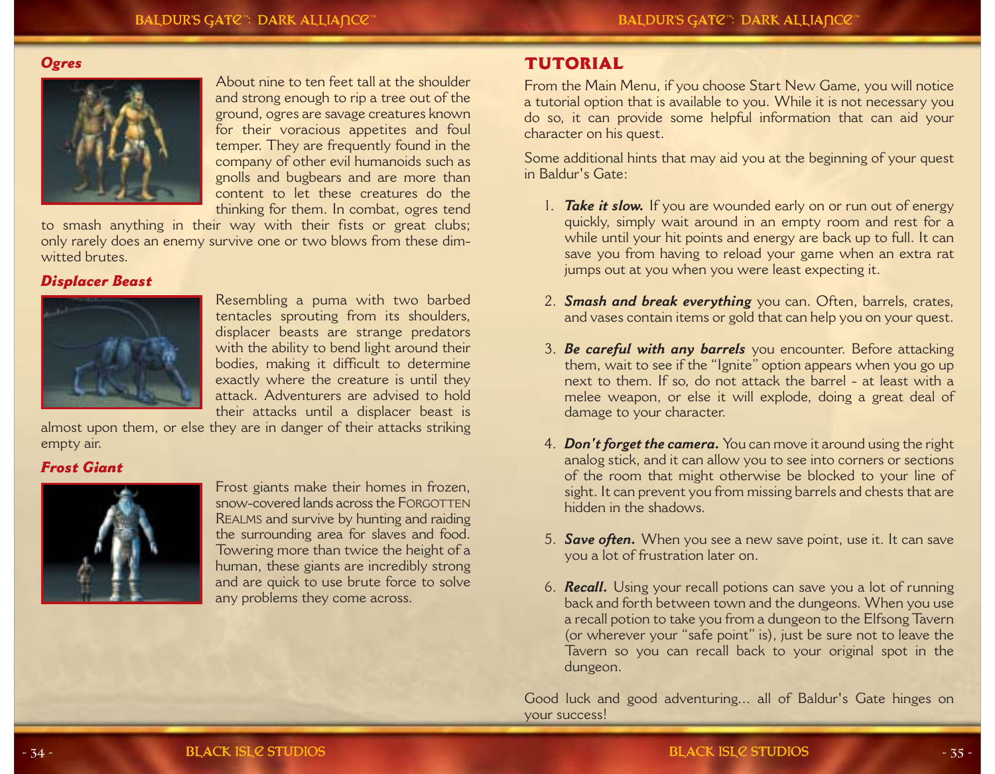## *Ogres*



About nine to ten feet tall at the shoulderand strong enough to rip a tree out of the ground, ogres are savage creatures known for their voracious appetites and foul temper. They are frequently found in the company of other evil humanoids such as gnolls and bugbears and are more than content to let these creatures do thethinking for them. In combat, ogres tend

to smash anything in their way with their fists or great clubs; only rarely does an enemy survive one or two blows from these dimwitted brutes.

#### *Displacer Beast*



Resembling a puma with two barbed tentacles sprouting from its shoulders, displacer beasts are strange predators with the ability to bend light around their bodies, making it difficult to determine exactly where the creature is until they attack. Adventurers are advised to holdtheir attacks until a displacer beast is

almost upon them, or else they are in danger of their attacks striking empty air.

#### *Frost Giant*



Frost giants make their homes in frozen, snow-covered lands across the FORGOTTEN REALMS and survive by hunting and raiding the surrounding area for slaves and food. Towering more than twice the height of a human, these giants are incredibly strong and are quick to use brute force to solve any problems they come across.

## **TUTORIAL**

From the Main Menu, if you choose Start New Game, you will notice a tutorial option that is available to you. While it is not necessary you do so, it can provide some helpful information that can aid your character on his quest.

Some additional hints that may aid you at the beginning of your quest in Baldur's Gate:

- 1. *Take it slow.* If you are wounded early on or run out of energy quickly, simply wait around in an empty room and rest for a while until your hit points and energy are back up to full. It can save you from having to reload your game when an extra rat jumps out at you when you were least expecting it.
- 2. *Smash and break everything* you can. Often, barrels, crates, and vases contain items or gold that can help you on your quest.
- 3. *Be careful with any barrels* you encounter. Before attacking them, wait to see if the "Ignite" option appears when you go up next to them. If so, do not attack the barrel - at least with a melee weapon, or else it will explode, doing a great deal of damage to your character.
- 4. *Don't forget the camera.*You can move it around using the right analog stick, and it can allow you to see into corners or sections of the room that might otherwise be blocked to your line of sight. It can prevent you from missing barrels and chests that are hidden in the shadows.
- 5. *Save often.* When you see a new save point, use it. It can save you a lot of frustration later on.
- 6. *Recall.* Using your recall potions can save you a lot of running back and forth between town and the dungeons. When you use a recall potion to take you from a dungeon to the Elfsong Tavern (or wherever your "safe point" is), just be sure not to leave the Tavern so you can recall back to your original spot in the dungeon.

Good luck and good adventuring... all of Baldur's Gate hinges on your success!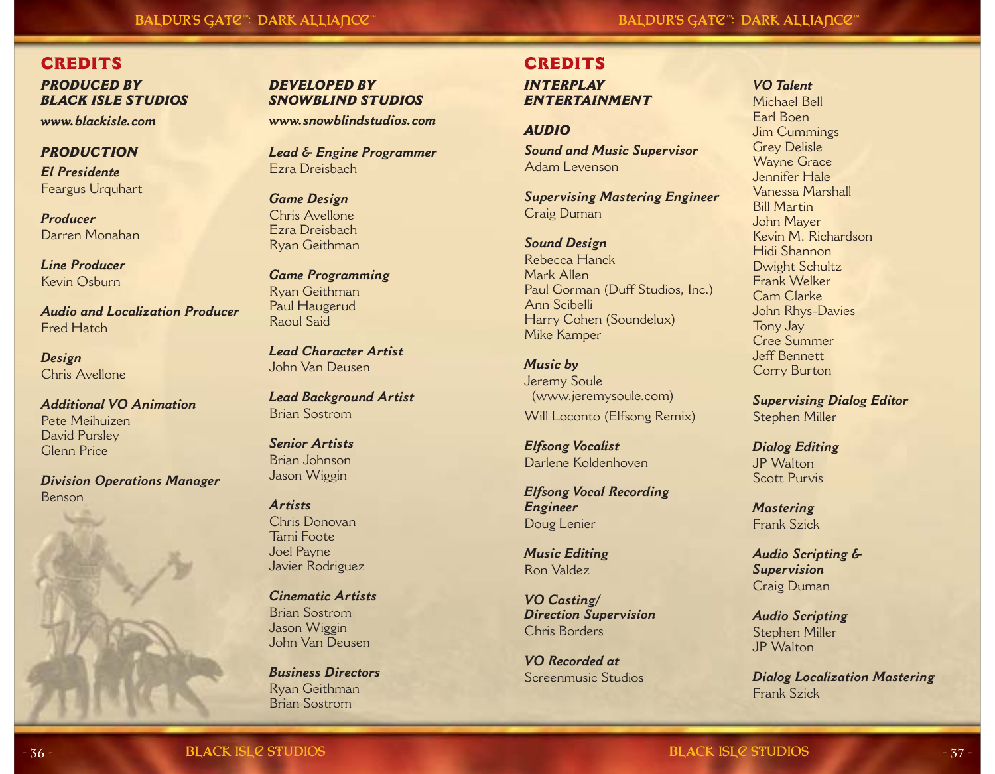#### **BALDUR'S GAT@™: DARK ALLIA∩C@™**

#### **BALDUR'S GAT@™: DARK ALLIANC@™**

## **CREDITS**

#### *PRODUCED BY BLACK ISLE STUDIOS*

*www.blackisle.com*

#### *PRODUCTION*

*El Presidente*Feargus Urquhart

*Producer*Darren Monahan

*Line Producer*Kevin Osburn

*Audio and Localization Producer*Fred Hatch

*Design* Chris Avellone

#### *Additional VO Animation* Pete MeihuizenDavid Pursley Glenn Price

*Division Operations Manager* Benson

#### *DEVELOPED BY SNOWBLIND STUDIOS*

*www.snowblindstudios.com*

*Lead & Engine Programmer* Ezra Dreisbach

*Game Design* Chris AvelloneEzra DreisbachRyan Geithman

*Game Programming* Ryan Geithman Paul Haugerud Raoul Said

*Lead Character Artist*John Van Deusen

*Lead Background Artist* Brian Sostrom

*Senior Artists* Brian JohnsonJason Wiggin

#### *Artists*

Chris DonovanTami FooteJoel Payne Javier Rodriguez

*Cinematic Artists*Brian SostromJason Wiggin John Van Deusen

*Business Directors*Ryan Geithman Brian Sostrom

## **CREDITS**

*INTERPLAYENTERTAINMENT*

#### *AUDIO*

*Sound and Music Supervisor* Adam Levenson

*Supervising Mastering Engineer* Craig Duman

#### *Sound Design*

Rebecca HanckMark AllenPaul Gorman (Duff Studios, Inc.) Ann Scibelli Harry Cohen (Soundelux) Mike Kamper

#### *Music by*

Jeremy Soule (www.jeremysoule.com) Will Loconto (Elfsong Remix)

*Elfsong Vocalist* Darlene Koldenhoven

*Elfsong Vocal Recording Engineer* Doug Lenier

*Music Editing*  Ron Valdez

*VO Casting/ Direction Supervision* Chris Borders

*VO Recorded at* Screenmusic Studios

#### *VO Talent*

Michael BellEarl BoenJim Cummings Grey Delisle Wayne Grace Jennifer Hale Vanessa MarshallBill MartinJohn Mayer Kevin M. RichardsonHidi Shannon Dwight Schultz Frank WelkerCam ClarkeJohn Rhys-Davies Tony Jay Cree SummerJeff BennettCorry Burton

*Supervising Dialog Editor* Stephen Miller

## *Dialog Editing*

JP WaltonScott Purvis

*Mastering*  Frank Szick

*Audio Scripting & Supervision* Craig Duman

*Audio Scripting* Stephen Miller JP Walton

*Dialog Localization Mastering* Frank Szick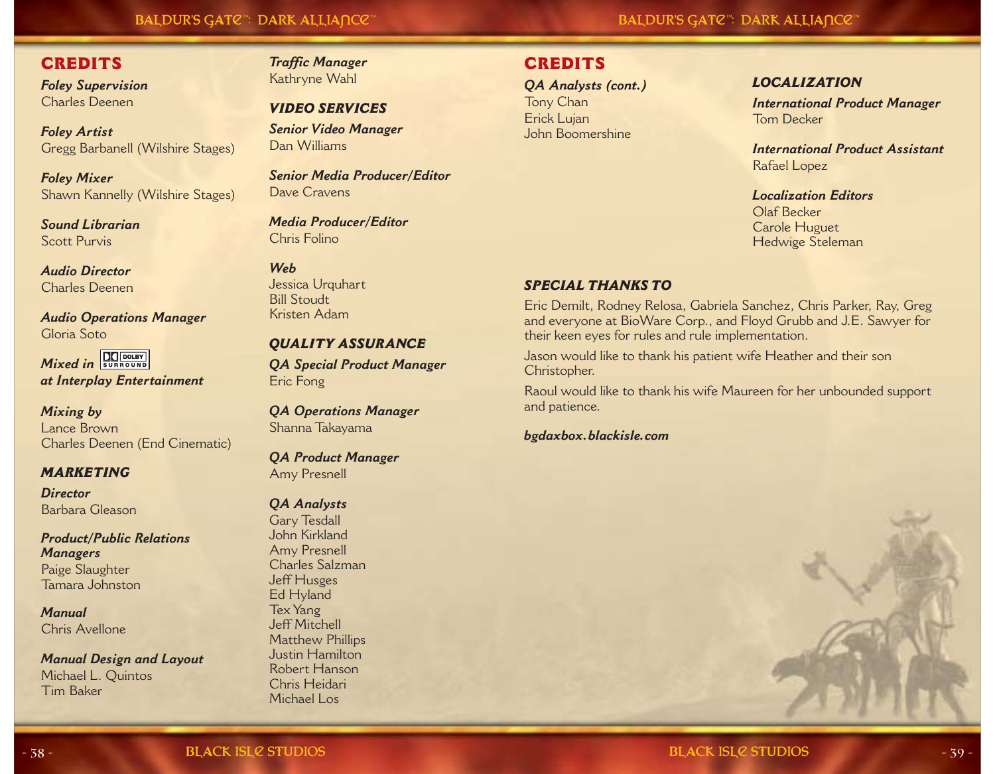#### **BALDUR'S GAT@™: DARK ALLIA∩C@™**

#### **BALDUR'S GAT@™: DARK ALLIANC@™**

# **CREDITS**

*Foley Supervision* Charles Deenen

*Foley Artist* Gregg Barbanell (Wilshire Stages)

*Foley Mixer* Shawn Kannelly (Wilshire Stages)

*Sound Librarian*Scott Purvis

#### *Audio Director*Charles Deenen

*Audio Operations Manager* Gloria Soto

*Mixed in* **BURDOLBY** *at Interplay Entertainment*

# *Mixing by*

Lance BrownCharles Deenen (End Cinematic)

#### *MARKETING*

*Director*Barbara Gleason

#### *Product/Public Relations Managers*

Paige Slaughter Tamara Johnston

*Manual*Chris Avellone

*Manual Design and Layout* Michael L. Quintos Tim Baker

# *Traffic Manager*

Kathryne Wahl

## *VIDEO SERVICES*

*Senior Video Manager* Dan Williams

*Senior Media Producer/Editor* Dave Cravens

#### *Media Producer/Editor* Chris Folino

*Web*

Jessica Urquhart Bill Stoudt Kristen Adam

#### *QUALITY ASSURANCE*

*QA Special Product Manager* Eric Fong

*QA Operations Manager* Shanna Takayama

#### *QA Product Manager* Amy Presnell

## *QA Analysts*

Gary Tesdall John KirklandAmy Presnell Charles SalzmanJeff Husges Ed Hyland Tex Yang Jeff MitchellMatthew Phillips Justin Hamilton Robert HansonChris HeidariMichael Los

# **CREDITS**

*QA Analysts (cont.)*

Tony Chan Erick Lujan John Boomershine

#### *LOCALIZATION*

*International Product Manager* Tom Decker

*International Product Assistant*Rafael Lopez

*Localization Editors*Olaf BeckerCarole Huguet Hedwige Steleman

#### *SPECIAL THANKS TO*

Eric Demilt, Rodney Relosa, Gabriela Sanchez, Chris Parker, Ray, Greg and everyone at BioWare Corp., and Floyd Grubb and J.E. Sawyer for their keen eyes for rules and rule implementation.

Jason would like to thank his patient wife Heather and their son Christopher.

Raoul would like to thank his wife Maureen for her unbounded support and patience.

#### *bgdaxbox.blackisle.com*